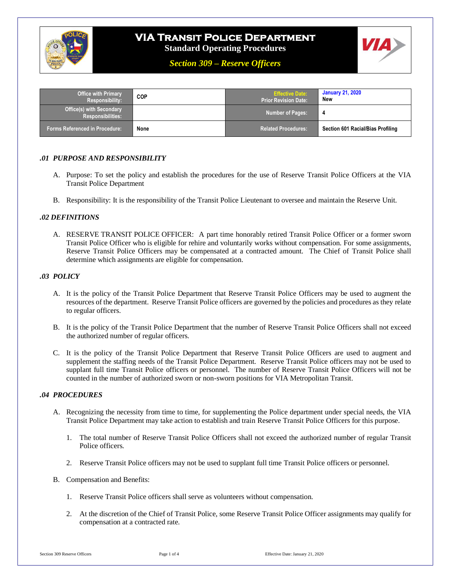

# **VIA Transit Police Department**

**Standard Operating Procedures**

*Section 309 – Reserve Officers*



| <b>Office with Primary</b><br>Responsibility:        | <b>COP</b> | <b>Effective Date:</b><br>Prior Revision Date: ˈ | <b>January 21, 2020</b><br>New    |
|------------------------------------------------------|------------|--------------------------------------------------|-----------------------------------|
| <b>Office(s) with Secondary</b><br>Responsibilities: |            | <b>Number of Pages:</b>                          |                                   |
| <b>Forms Referenced in Procedure:</b>                | None       | <b>Related Procedures:</b>                       | Section 601 Racial/Bias Profiling |

#### *.01 PURPOSE AND RESPONSIBILITY*

- A. Purpose: To set the policy and establish the procedures for the use of Reserve Transit Police Officers at the VIA Transit Police Department
- B. Responsibility: It is the responsibility of the Transit Police Lieutenant to oversee and maintain the Reserve Unit.

#### *.02 DEFINITIONS*

A. RESERVE TRANSIT POLICE OFFICER: A part time honorably retired Transit Police Officer or a former sworn Transit Police Officer who is eligible for rehire and voluntarily works without compensation. For some assignments, Reserve Transit Police Officers may be compensated at a contracted amount. The Chief of Transit Police shall determine which assignments are eligible for compensation.

#### *.03 POLICY*

- A. It is the policy of the Transit Police Department that Reserve Transit Police Officers may be used to augment the resources of the department. Reserve Transit Police officers are governed by the policies and procedures as they relate to regular officers.
- B. It is the policy of the Transit Police Department that the number of Reserve Transit Police Officers shall not exceed the authorized number of regular officers.
- C. It is the policy of the Transit Police Department that Reserve Transit Police Officers are used to augment and supplement the staffing needs of the Transit Police Department. Reserve Transit Police officers may not be used to supplant full time Transit Police officers or personnel. The number of Reserve Transit Police Officers will not be counted in the number of authorized sworn or non-sworn positions for VIA Metropolitan Transit.

#### *.04 PROCEDURES*

- A. Recognizing the necessity from time to time, for supplementing the Police department under special needs, the VIA Transit Police Department may take action to establish and train Reserve Transit Police Officers for this purpose.
	- 1. The total number of Reserve Transit Police Officers shall not exceed the authorized number of regular Transit Police officers.
	- 2. Reserve Transit Police officers may not be used to supplant full time Transit Police officers or personnel.
- B. Compensation and Benefits:
	- 1. Reserve Transit Police officers shall serve as volunteers without compensation.
	- 2. At the discretion of the Chief of Transit Police, some Reserve Transit Police Officer assignments may qualify for compensation at a contracted rate.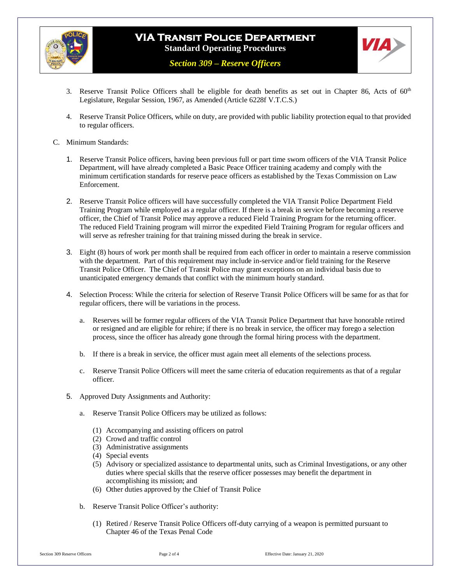



*Section 309 – Reserve Officers*

- 3. Reserve Transit Police Officers shall be eligible for death benefits as set out in Chapter 86, Acts of  $60<sup>th</sup>$ Legislature, Regular Session, 1967, as Amended (Article 6228f V.T.C.S.)
- 4. Reserve Transit Police Officers, while on duty, are provided with public liability protection equal to that provided to regular officers.

#### C. Minimum Standards:

- 1. Reserve Transit Police officers, having been previous full or part time sworn officers of the VIA Transit Police Department, will have already completed a Basic Peace Officer training academy and comply with the minimum certification standards for reserve peace officers as established by the Texas Commission on Law Enforcement.
- 2. Reserve Transit Police officers will have successfully completed the VIA Transit Police Department Field Training Program while employed as a regular officer. If there is a break in service before becoming a reserve officer, the Chief of Transit Police may approve a reduced Field Training Program for the returning officer. The reduced Field Training program will mirror the expedited Field Training Program for regular officers and will serve as refresher training for that training missed during the break in service.
- 3. Eight (8) hours of work per month shall be required from each officer in order to maintain a reserve commission with the department. Part of this requirement may include in-service and/or field training for the Reserve Transit Police Officer. The Chief of Transit Police may grant exceptions on an individual basis due to unanticipated emergency demands that conflict with the minimum hourly standard.
- 4. Selection Process: While the criteria for selection of Reserve Transit Police Officers will be same for as that for regular officers, there will be variations in the process.
	- a. Reserves will be former regular officers of the VIA Transit Police Department that have honorable retired or resigned and are eligible for rehire; if there is no break in service, the officer may forego a selection process, since the officer has already gone through the formal hiring process with the department.
	- b. If there is a break in service, the officer must again meet all elements of the selections process.
	- c. Reserve Transit Police Officers will meet the same criteria of education requirements as that of a regular officer.
- 5. Approved Duty Assignments and Authority:
	- a. Reserve Transit Police Officers may be utilized as follows:
		- (1) Accompanying and assisting officers on patrol
		- (2) Crowd and traffic control
		- (3) Administrative assignments
		- (4) Special events
		- (5) Advisory or specialized assistance to departmental units, such as Criminal Investigations, or any other duties where special skills that the reserve officer possesses may benefit the department in accomplishing its mission; and
		- (6) Other duties approved by the Chief of Transit Police
	- b. Reserve Transit Police Officer's authority:
		- (1) Retired / Reserve Transit Police Officers off-duty carrying of a weapon is permitted pursuant to Chapter 46 of the Texas Penal Code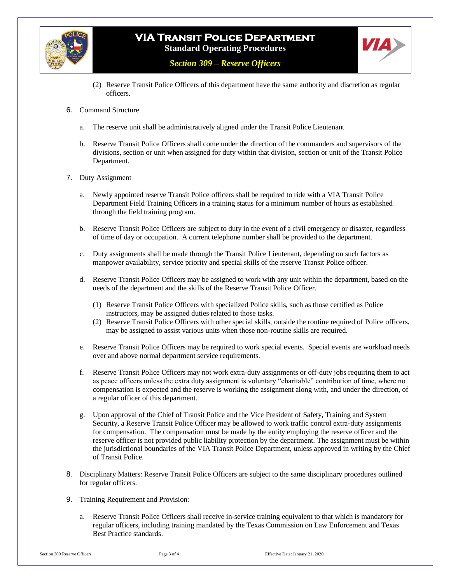

### **VIA Transit Police Department Standard Operating Procedures**



*Section 309 – Reserve Officers*

- (2) Reserve Transit Police Officers of this department have the same authority and discretion as regular officers.
- 6. Command Structure
	- a. The reserve unit shall be administratively aligned under the Transit Police Lieutenant
	- b. Reserve Transit Police Officers shall come under the direction of the commanders and supervisors of the divisions, section or unit when assigned for duty within that division, section or unit of the Transit Police Department.
- 7. Duty Assignment
	- a. Newly appointed reserve Transit Police officers shall be required to ride with a VIA Transit Police Department Field Training Officers in a training status for a minimum number of hours as established through the field training program.
	- b. Reserve Transit Police Officers are subject to duty in the event of a civil emergency or disaster, regardless of time of day or occupation. A current telephone number shall be provided to the department.
	- c. Duty assignments shall be made through the Transit Police Lieutenant, depending on such factors as manpower availability, service priority and special skills of the reserve Transit Police officer.
	- d. Reserve Transit Police Officers may be assigned to work with any unit within the department, based on the needs of the department and the skills of the Reserve Transit Police Officer.
		- (1) Reserve Transit Police Officers with specialized Police skills, such as those certified as Police instructors, may be assigned duties related to those tasks.
		- (2) Reserve Transit Police Officers with other special skills, outside the routine required of Police officers, may be assigned to assist various units when those non-routine skills are required.
	- e. Reserve Transit Police Officers may be required to work special events. Special events are workload needs over and above normal department service requirements.
	- f. Reserve Transit Police Officers may not work extra-duty assignments or off-duty jobs requiring them to act as peace officers unless the extra duty assignment is voluntary "charitable" contribution of time, where no compensation is expected and the reserve is working the assignment along with, and under the direction, of a regular officer of this department.
	- g. Upon approval of the Chief of Transit Police and the Vice President of Safety, Training and System Security, a Reserve Transit Police Officer may be allowed to work traffic control extra-duty assignments for compensation. The compensation must be made by the entity employing the reserve officer and the reserve officer is not provided public liability protection by the department. The assignment must be within the jurisdictional boundaries of the VIA Transit Police Department, unless approved in writing by the Chief of Transit Police.
- 8. Disciplinary Matters: Reserve Transit Police Officers are subject to the same disciplinary procedures outlined for regular officers.
- 9. Training Requirement and Provision:
	- a. Reserve Transit Police Officers shall receive in-service training equivalent to that which is mandatory for regular officers, including training mandated by the Texas Commission on Law Enforcement and Texas Best Practice standards.